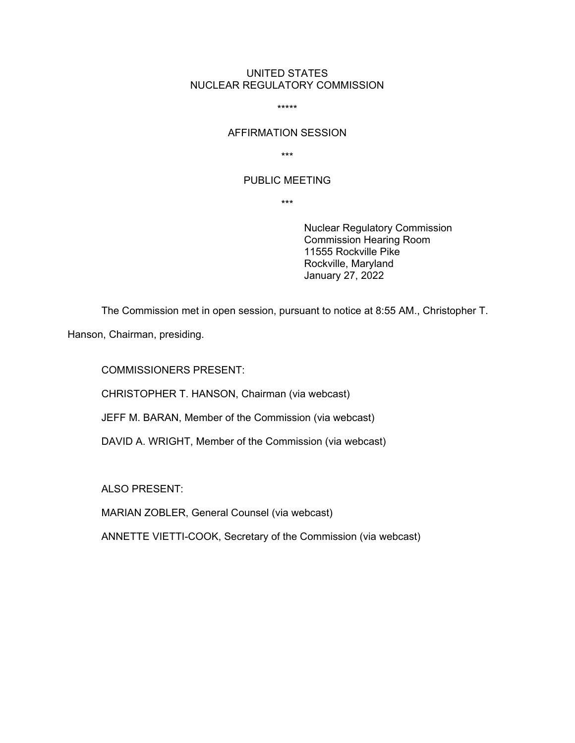# UNITED STATES NUCLEAR REGULATORY COMMISSION

\*\*\*\*\*

# AFFIRMATION SESSION

\*\*\*

## PUBLIC MEETING

\*\*\*

Nuclear Regulatory Commission Commission Hearing Room 11555 Rockville Pike Rockville, Maryland January 27, 2022

The Commission met in open session, pursuant to notice at 8:55 AM., Christopher T.

Hanson, Chairman, presiding.

COMMISSIONERS PRESENT:

CHRISTOPHER T. HANSON, Chairman (via webcast)

JEFF M. BARAN, Member of the Commission (via webcast)

DAVID A. WRIGHT, Member of the Commission (via webcast)

ALSO PRESENT:

MARIAN ZOBLER, General Counsel (via webcast)

ANNETTE VIETTI-COOK, Secretary of the Commission (via webcast)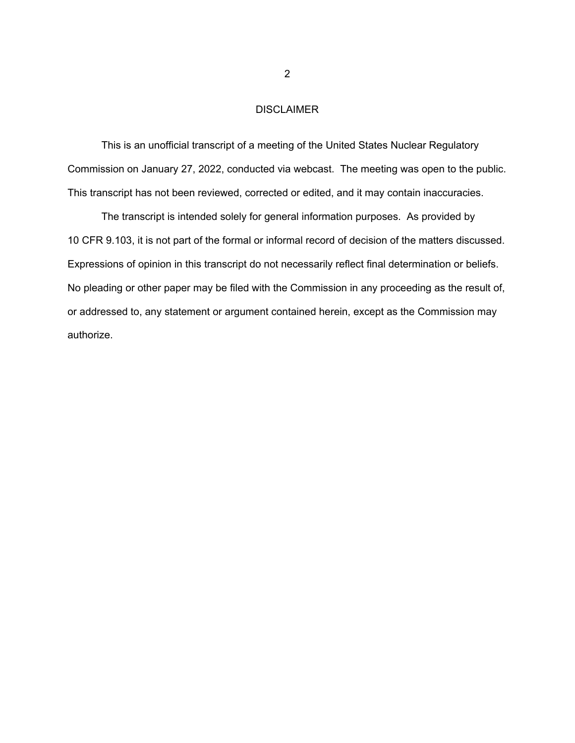### **DISCLAIMER**

This is an unofficial transcript of a meeting of the United States Nuclear Regulatory Commission on January 27, 2022, conducted via webcast. The meeting was open to the public. This transcript has not been reviewed, corrected or edited, and it may contain inaccuracies.

The transcript is intended solely for general information purposes. As provided by 10 CFR 9.103, it is not part of the formal or informal record of decision of the matters discussed. Expressions of opinion in this transcript do not necessarily reflect final determination or beliefs. No pleading or other paper may be filed with the Commission in any proceeding as the result of, or addressed to, any statement or argument contained herein, except as the Commission may authorize.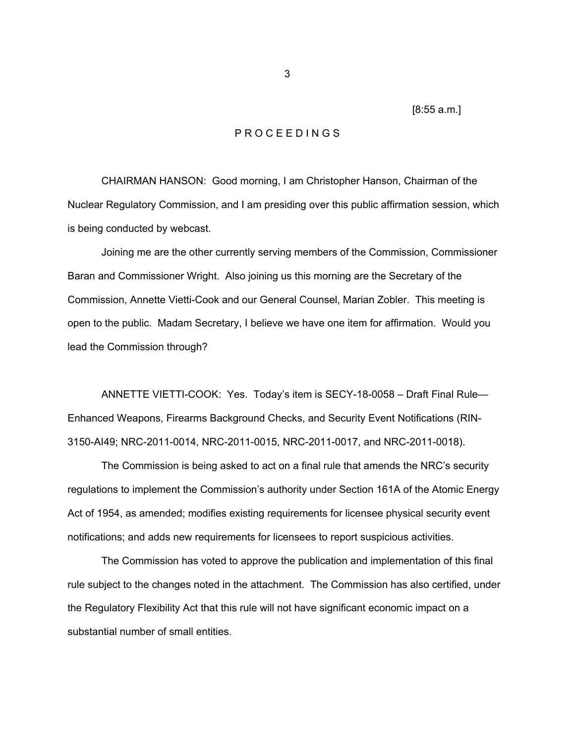[8:55 a.m.]

#### P R O C E E D I N G S

 CHAIRMAN HANSON: Good morning, I am Christopher Hanson, Chairman of the Nuclear Regulatory Commission, and I am presiding over this public affirmation session, which is being conducted by webcast.

 Joining me are the other currently serving members of the Commission, Commissioner Baran and Commissioner Wright. Also joining us this morning are the Secretary of the Commission, Annette Vietti-Cook and our General Counsel, Marian Zobler. This meeting is open to the public. Madam Secretary, I believe we have one item for affirmation. Would you lead the Commission through?

 ANNETTE VIETTI-COOK: Yes. Today's item is SECY-18-0058 – Draft Final Rule— Enhanced Weapons, Firearms Background Checks, and Security Event Notifications (RIN-3150-AI49; NRC-2011-0014, NRC-2011-0015, NRC-2011-0017, and NRC-2011-0018).

 The Commission is being asked to act on a final rule that amends the NRC's security regulations to implement the Commission's authority under Section 161A of the Atomic Energy Act of 1954, as amended; modifies existing requirements for licensee physical security event notifications; and adds new requirements for licensees to report suspicious activities.

 The Commission has voted to approve the publication and implementation of this final rule subject to the changes noted in the attachment. The Commission has also certified, under the Regulatory Flexibility Act that this rule will not have significant economic impact on a substantial number of small entities.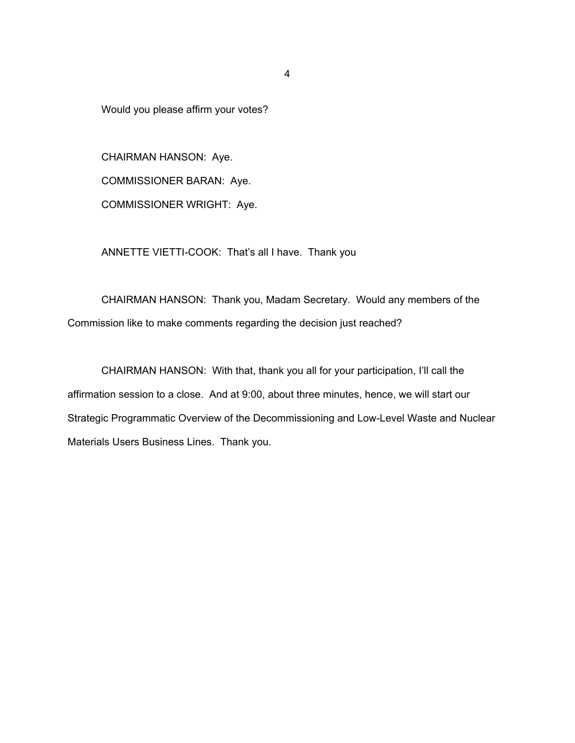Would you please affirm your votes?

 CHAIRMAN HANSON: Aye. COMMISSIONER BARAN: Aye. COMMISSIONER WRIGHT: Aye.

ANNETTE VIETTI-COOK: That's all I have. Thank you

 CHAIRMAN HANSON: Thank you, Madam Secretary. Would any members of the Commission like to make comments regarding the decision just reached?

 CHAIRMAN HANSON: With that, thank you all for your participation, I'll call the affirmation session to a close. And at 9:00, about three minutes, hence, we will start our Strategic Programmatic Overview of the Decommissioning and Low-Level Waste and Nuclear Materials Users Business Lines. Thank you.